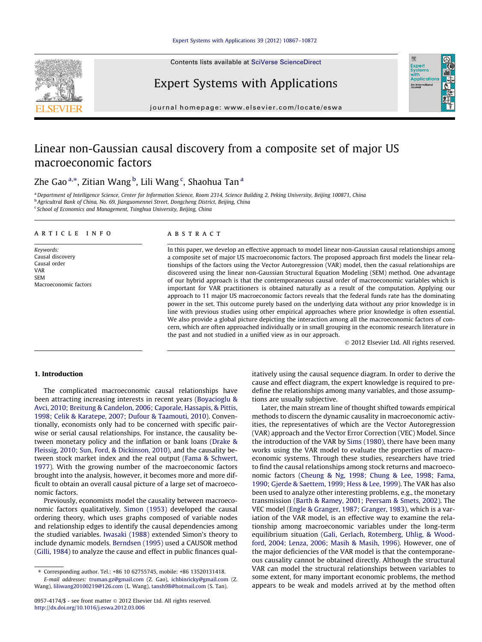#### [Expert Systems with Applications 39 \(2012\) 10867–10872](http://dx.doi.org/10.1016/j.eswa.2012.03.006)

Contents lists available at [SciVerse ScienceDirect](http://www.sciencedirect.com/science/journal/09574174)



## Expert Systems with Applications

journal homepage: [www.elsevier.com/locate/eswa](http://www.elsevier.com/locate/eswa)

## Linear non-Gaussian causal discovery from a composite set of major US macroeconomic factors

### Zhe Gao ª,\*, Zitian Wang <sup>b</sup>, Lili Wang <sup>c</sup>, Shaohua Tan ª

a Department of Intelligence Science, Center for Information Science, Room 2314, Science Building 2, Peking University, Beijing 100871, China <sup>b</sup> Agricultral Bank of China, No. 69, Jianguomennei Street, Dongcheng District, Beijing, China <sup>c</sup> School of Economics and Management, Tsinghua University, Beijing, China

#### article info

Keywords: Causal discovery Causal order VAR **SEM** Macroeconomic factors

#### ABSTRACT

In this paper, we develop an effective approach to model linear non-Gaussian causal relationships among a composite set of major US macroeconomic factors. The proposed approach first models the linear relationships of the factors using the Vector Autoregression (VAR) model, then the casual relationships are discovered using the linear non-Gaussian Structural Equation Modeling (SEM) method. One advantage of our hybrid approach is that the contemporaneous causal order of macroeconomic variables which is important for VAR practitioners is obtained naturally as a result of the computation. Applying our approach to 11 major US macroeconomic factors reveals that the federal funds rate has the dominating power in the set. This outcome purely based on the underlying data without any prior knowledge is in line with previous studies using other empirical approaches where prior knowledge is often essential. We also provide a global picture depicting the interaction among all the macroeconomic factors of concern, which are often approached individually or in small grouping in the economic research literature in the past and not studied in a unified view as in our approach.

- 2012 Elsevier Ltd. All rights reserved.

Expert<br>Syster **Applicatio** An Interna

#### 1. Introduction

The complicated macroeconomic causal relationships have been attracting increasing interests in recent years ([Boyacioglu &](#page--1-0) [Avci, 2010; Breitung & Candelon, 2006; Caporale, Hassapis, & Pittis,](#page--1-0) [1998; Celik & Karatepe, 2007; Dufour & Taamouti, 2010\)](#page--1-0). Conventionally, economists only had to be concerned with specific pairwise or serial causal relationships. For instance, the causality between monetary policy and the inflation or bank loans [\(Drake &](#page--1-0) [Fleissig, 2010; Sun, Ford, & Dickinson, 2010\)](#page--1-0), and the causality between stock market index and the real output ([Fama & Schwert,](#page--1-0) [1977\)](#page--1-0). With the growing number of the macroeconomic factors brought into the analysis, however, it becomes more and more difficult to obtain an overall causal picture of a large set of macroeconomic factors.

Previously, economists model the causality between macroeconomic factors qualitatively. [Simon \(1953\)](#page--1-0) developed the causal ordering theory, which uses graphs composed of variable nodes and relationship edges to identify the causal dependencies among the studied variables. [Iwasaki \(1988\)](#page--1-0) extended Simon's theory to include dynamic models. [Berndsen \(1995\)](#page--1-0) used a CAUSOR method ([Gilli, 1984](#page--1-0)) to analyze the cause and effect in public finances qualitatively using the causal sequence diagram. In order to derive the cause and effect diagram, the expert knowledge is required to predefine the relationships among many variables, and those assumptions are usually subjective.

Later, the main stream line of thought shifted towards empirical methods to discern the dynamic causality in macroeconomic activities, the representatives of which are the Vector Autoregression (VAR) approach and the Vector Error Correction (VEC) Model. Since the introduction of the VAR by [Sims \(1980\)](#page--1-0), there have been many works using the VAR model to evaluate the properties of macroeconomic systems. Through these studies, researchers have tried to find the causal relationships among stock returns and macroeconomic factors [\(Cheung & Ng, 1998; Chung & Lee, 1998; Fama,](#page--1-0) [1990; Gjerde & Saettem, 1999; Hess & Lee, 1999\)](#page--1-0). The VAR has also been used to analyze other interesting problems, e.g., the monetary transmission ([Barth & Ramey, 2001; Peersam & Smets, 2002](#page--1-0)). The VEC model ([Engle & Granger, 1987; Granger, 1983](#page--1-0)), which is a variation of the VAR model, is an effective way to examine the relationship among macroeconomic variables under the long-term equilibrium situation ([Gali, Gerlach, Rotemberg, Uhlig, & Wood](#page--1-0)[ford, 2004; Lenza, 2006; Masih & Masih, 1996](#page--1-0)). However, one of the major deficiencies of the VAR model is that the contemporaneous causality cannot be obtained directly. Although the structural VAR can model the structural relationships between variables to some extent, for many important economic problems, the method appears to be weak and models arrived at by the method often

<sup>⇑</sup> Corresponding author. Tel.: +86 10 62755745, mobile: +86 13520131418. E-mail addresses: [truman.gz@gmail.com](mailto:truman.gz@gmail.com) (Z. Gao), [ichbinricky@gmail.com](mailto:ichbinricky@gmail.com) (Z. Wang), [liliwang20100219@126.com](mailto:liliwang20100219@126.com) (L. Wang), [tansh98@hotmail.com](mailto:tansh98@hotmail.com) (S. Tan).

<sup>0957-4174/\$ -</sup> see front matter © 2012 Elsevier Ltd. All rights reserved. <http://dx.doi.org/10.1016/j.eswa.2012.03.006>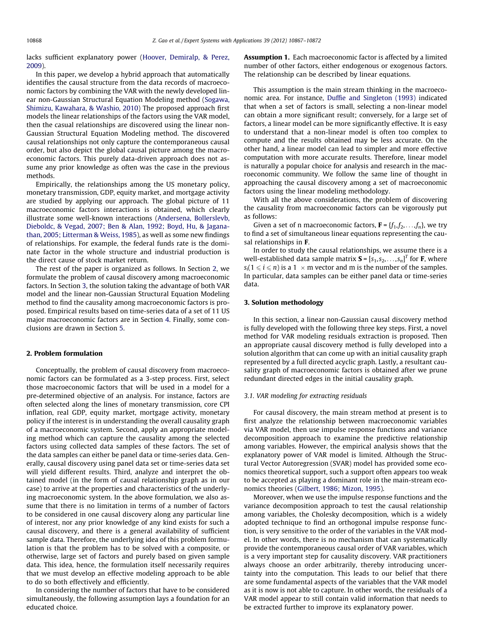lacks sufficient explanatory power [\(Hoover, Demiralp, & Perez,](#page--1-0) [2009\)](#page--1-0).

In this paper, we develop a hybrid approach that automatically identifies the causal structure from the data records of macroeconomic factors by combining the VAR with the newly developed linear non-Gaussian Structural Equation Modeling method [\(Sogawa,](#page--1-0) [Shimizu, Kawahara, & Washio, 2010\)](#page--1-0) The proposed approach first models the linear relationships of the factors using the VAR model, then the casual relationships are discovered using the linear non-Gaussian Structural Equation Modeling method. The discovered causal relationships not only capture the contemporaneous causal order, but also depict the global causal picture among the macroeconomic factors. This purely data-driven approach does not assume any prior knowledge as often was the case in the previous methods.

Empirically, the relationships among the US monetary policy, monetary transmission, GDP, equity market, and mortgage activity are studied by applying our approach. The global picture of 11 macroeconomic factors interactions is obtained, which clearly illustrate some well-known interactions ([Andersena, Bollerslevb,](#page--1-0) [Dieboldc, & Vegad, 2007; Ben & Alan, 1992; Boyd, Hu, & Jagana](#page--1-0)[than, 2005; Litterman & Weiss, 1985](#page--1-0)), as well as some new findings of relationships. For example, the federal funds rate is the dominate factor in the whole structure and industrial production is the direct cause of stock market return.

The rest of the paper is organized as follows. In Section 2, we formulate the problem of causal discovery among macroeconomic factors. In Section 3, the solution taking the advantage of both VAR model and the linear non-Gaussian Structural Equation Modeling method to find the causality among macroeconomic factors is proposed. Empirical results based on time-series data of a set of 11 US major macroeconomic factors are in Section [4](#page--1-0). Finally, some conclusions are drawn in Section [5](#page--1-0).

#### 2. Problem formulation

Conceptually, the problem of causal discovery from macroeconomic factors can be formulated as a 3-step process. First, select those macroeconomic factors that will be used in a model for a pre-determined objective of an analysis. For instance, factors are often selected along the lines of monetary transmission, core CPI inflation, real GDP, equity market, mortgage activity, monetary policy if the interest is in understanding the overall causality graph of a macroeconomic system. Second, apply an appropriate modeling method which can capture the causality among the selected factors using collected data samples of these factors. The set of the data samples can either be panel data or time-series data. Generally, causal discovery using panel data set or time-series data set will yield different results. Third, analyze and interpret the obtained model (in the form of causal relationship graph as in our case) to arrive at the properties and characteristics of the underlying macroeconomic system. In the above formulation, we also assume that there is no limitation in terms of a number of factors to be considered in one causal discovery along any particular line of interest, nor any prior knowledge of any kind exists for such a causal discovery, and there is a general availability of sufficient sample data. Therefore, the underlying idea of this problem formulation is that the problem has to be solved with a composite, or otherwise, large set of factors and purely based on given sample data. This idea, hence, the formulation itself necessarily requires that we must develop an effective modeling approach to be able to do so both effectively and efficiently.

In considering the number of factors that have to be considered simultaneously, the following assumption lays a foundation for an educated choice.

**Assumption 1.** Each macroeconomic factor is affected by a limited number of other factors, either endogenous or exogenous factors. The relationship can be described by linear equations.

This assumption is the main stream thinking in the macroeconomic area. For instance, [Duffie and Singleton \(1993\)](#page--1-0) indicated that when a set of factors is small, selecting a non-linear model can obtain a more significant result; conversely, for a large set of factors, a linear model can be more significantly effective. It is easy to understand that a non-linear model is often too complex to compute and the results obtained may be less accurate. On the other hand, a linear model can lead to simpler and more effective computation with more accurate results. Therefore, linear model is naturally a popular choice for analysis and research in the macroeconomic community. We follow the same line of thought in approaching the causal discovery among a set of macroeconomic factors using the linear modeling methodology.

With all the above considerations, the problem of discovering the causality from macroeconomic factors can be vigorously put as follows:

Given a set of n macroeconomic factors,  $\mathbf{F} = \{f_1, f_2, \ldots, f_n\}$ , we try to find a set of simultaneous linear equations representing the causal relationships in F.

In order to study the causal relationships, we assume there is a well-established data sample matrix  $\mathbf{S} = [s_1, s_2, \dots, s_n]^T$  for **F**, where  $s_i(1 \leq i \leq n)$  is a 1  $\ \times$  m vector and m is the number of the samples. In particular, data samples can be either panel data or time-series data.

#### 3. Solution methodology

In this section, a linear non-Gaussian causal discovery method is fully developed with the following three key steps. First, a novel method for VAR modeling residuals extraction is proposed. Then an appropriate causal discovery method is fully developed into a solution algorithm that can come up with an initial causality graph represented by a full directed acyclic graph. Lastly, a resultant causality graph of macroeconomic factors is obtained after we prune redundant directed edges in the initial causality graph.

#### 3.1. VAR modeling for extracting residuals

For causal discovery, the main stream method at present is to first analyze the relationship between macroeconomic variables via VAR model, then use impulse response functions and variance decomposition approach to examine the predictive relationship among variables. However, the empirical analysis shows that the explanatory power of VAR model is limited. Although the Structural Vector Autoregression (SVAR) model has provided some economics theoretical support, such a support often appears too weak to be accepted as playing a dominant role in the main-stream economics theories ([Gilbert, 1986; Mizon, 1995](#page--1-0)).

Moreover, when we use the impulse response functions and the variance decomposition approach to test the causal relationship among variables, the Cholesky decomposition, which is a widely adopted technique to find an orthogonal impulse response function, is very sensitive to the order of the variables in the VAR model. In other words, there is no mechanism that can systematically provide the contemporaneous causal order of VAR variables, which is a very important step for causality discovery. VAR practitioners always choose an order arbitrarily, thereby introducing uncertainty into the computation. This leads to our belief that there are some fundamental aspects of the variables that the VAR model as it is now is not able to capture. In other words, the residuals of a VAR model appear to still contain valid information that needs to be extracted further to improve its explanatory power.